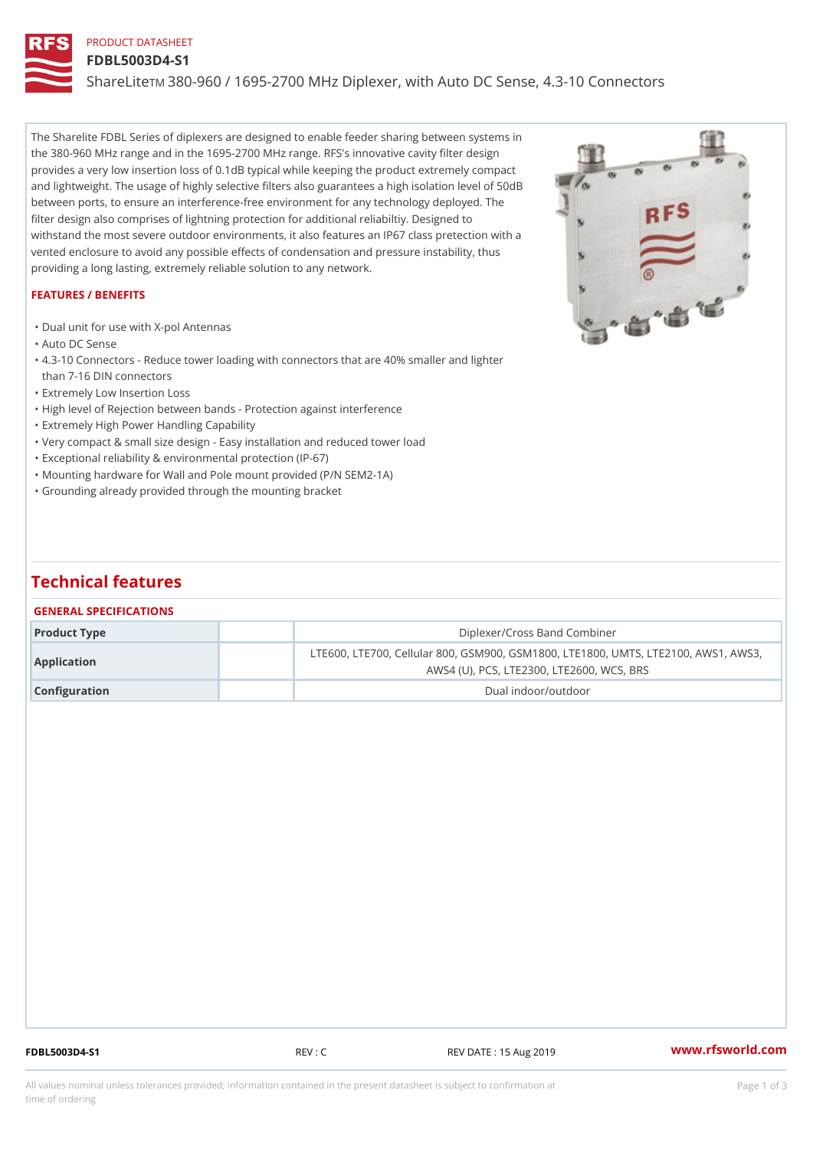## PRODUCT DATASHEET

#### FDBL5003D4-S1

ShareLim 380-960 / 1695-2700 MHz Diplexer, with Auto DC Sense, 4.3-10

The Sharelite FDBL Series of diplexers are designed to enable feeder sharing between systems in the 380-960 MHz range and in the 1695-2700 MHz range. RFS's innovative cavity filter design provides a very low insertion loss of 0.1dB typical while keeping the product extremely compact and lightweight. The usage of highly selective filters also guarantees a high isolation level of 50dB between ports, to ensure an interference-free environment for any technology deployed. The filter design also comprises of lightning protection for additional reliabiltiy. Designed to withstand the most severe outdoor environments, it also features an IP67 class pretection with a vented enclosure to avoid any possible effects of condensation and pressure instability, thus providing a long lasting, extremely reliable solution to any network.

#### FEATURES / BENEFITS

"Dual unit for use with X-pol Antennas

"Auto DC Sense

4.3-10 Connectors - Reduce tower loading with connectors that are 40% smaller and lighter "

- than 7-16 DIN connectors
- "Extremely Low Insertion Loss
- "High level of Rejection between bands Protection against interference
- "Extremely High Power Handling Capability

"Very compact & small size design - Easy installation and reduced tower load

"Exceptional reliability & environmental protection (IP-67)

- "Mounting hardware for Wall and Pole mount provided (P/N SEM2-1A)
- "Grounding already provided through the mounting bracket

# Technical features

## GENERAL SPECIFICATIONS

| Product Type  | Diplexer/Cross Band Combiner                                                                               |  |
|---------------|------------------------------------------------------------------------------------------------------------|--|
| Application   | LTE600, LTE700, Cellular 800, GSM900, GSM1800, LTE1800, UM<br>AWS4 (U), PCS, LTE2300, LTE2600, WCS, BR $\$ |  |
| Configuration | Dual indoor/outdoor                                                                                        |  |

FDBL5003D4-S1 REV : C REV DATE : 15 Aug 2019 [www.](https://www.rfsworld.com)rfsworld.com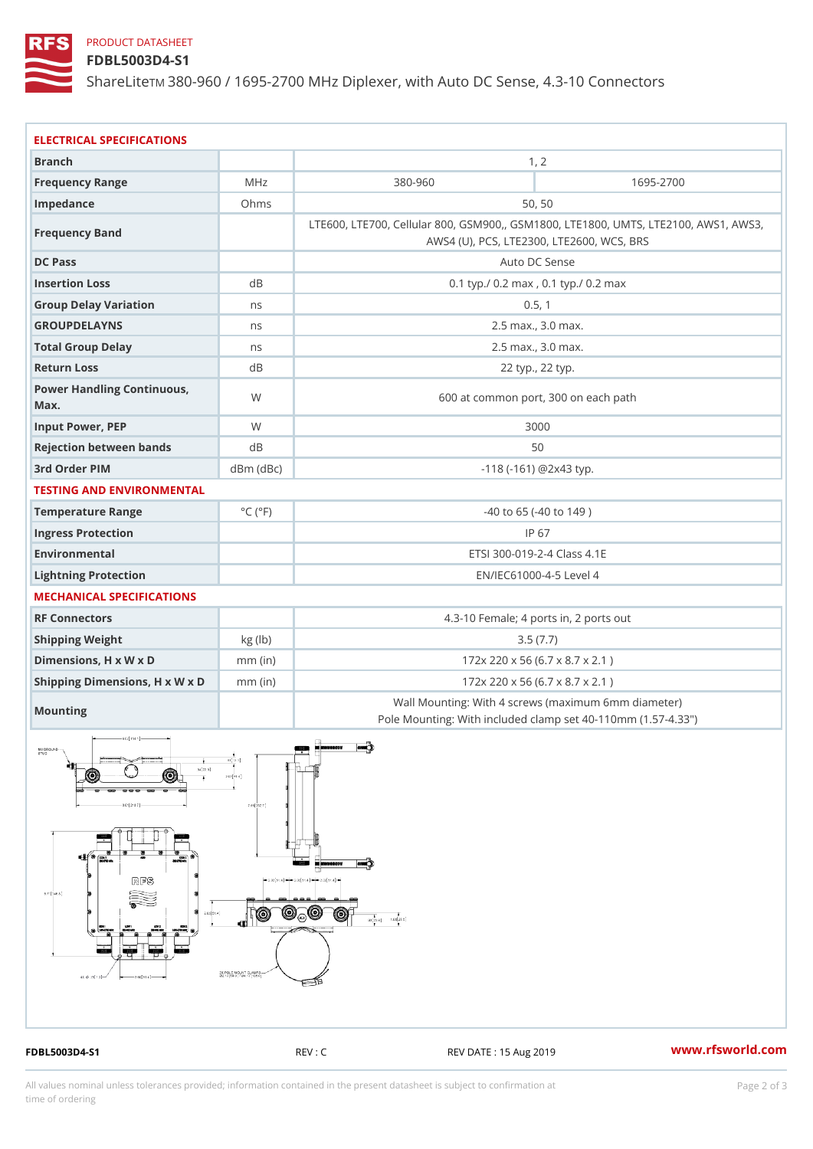## PRODUCT DATASHEET

FDBL5003D4-S1

ShareLim 380-960 / 1695-2700 MHz Diplexer, with Auto DC Sense, 4.3-10

| ELECTRICAL SPECIFICATIONS            |                             |                                                                                                             |           |  |
|--------------------------------------|-----------------------------|-------------------------------------------------------------------------------------------------------------|-----------|--|
| <b>Branch</b>                        |                             | 1, 2                                                                                                        |           |  |
| Frequency Range                      | MHz                         | $380 - 960$                                                                                                 | 1695-2700 |  |
| Impedance                            | Ohms                        | 50, 50                                                                                                      |           |  |
| Frequency Band                       |                             | LTE600, LTE700, Cellular 800, GSM900,, GSM1800, LTE1800, UN<br>AWS4 (U), PCS, LTE2300, LTE2600, WCS, BRS    |           |  |
| DC Pass                              |                             | Auto DC Sense                                                                                               |           |  |
| Insertion Loss                       | d <sub>B</sub>              | 0.1 typ./ 0.2 max, 0.1 typ./ 0.2 max                                                                        |           |  |
| Group Delay Variation                | n s                         | 0.5, 1                                                                                                      |           |  |
| <b>GROUPDELAYNS</b>                  | n s                         | 2.5 max., 3.0 max.                                                                                          |           |  |
| Total Group Delay                    | n s                         | 2.5 max., 3.0 max.                                                                                          |           |  |
| Return Loss                          | d B                         | 22 typ., 22 typ.                                                                                            |           |  |
| Power Handling Continuous, W<br>Max. |                             | 600 at common port, 300 on each path                                                                        |           |  |
| Input Power, PEP                     | W                           | 3000                                                                                                        |           |  |
| Rejection between bands              | d B<br>50                   |                                                                                                             |           |  |
| 3rd Order PIM                        | $dBm$ $(dBc)$               | $-118$ ( $-161$ ) @ 2 x 4 3 typ.                                                                            |           |  |
| TESTING AND ENVIRONMENTAL            |                             |                                                                                                             |           |  |
| Temperature Range                    | $^{\circ}$ C ( $^{\circ}$ F | $-40$ to 65 ( $-40$ to 149)                                                                                 |           |  |
| Ingress Protection                   |                             | IP 67                                                                                                       |           |  |
| Environmental                        |                             | ETSI 300-019-2-4 Class 4.1E                                                                                 |           |  |
| Lightning Protection                 |                             | EN/IEC61000-4-5 Level 4                                                                                     |           |  |
| MECHANICAL SPECIFICATIONS            |                             |                                                                                                             |           |  |
| RF Connectors                        |                             | 4.3-10 Female; 4 ports in, 2 ports out                                                                      |           |  |
| Shipping Weight                      | kg(lb)                      | 3.5(7.7)                                                                                                    |           |  |
| Dimensions, H x W x D                | $mm$ (in)                   | 172x 220 x 56 (6.7 x 8.7 x 2.1)                                                                             |           |  |
| Shipping Dimensions, H x M/mx (Dn)   |                             | 172x 220 x 56 (6.7 x 8.7 x 2.1)                                                                             |           |  |
| Mounting                             |                             | Wall Mounting: With 4 screws (maximum 6mm diamete)<br>Pole Mounting: With included clamp set 40-110mm (1.57 |           |  |

FDBL5003D4-S1 REV : C REV DATE : 15 Aug 2019 [www.](https://www.rfsworld.com)rfsworld.com